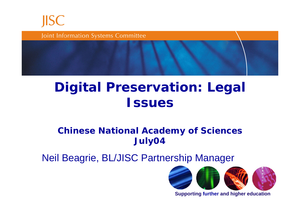

Joint Information Systems Committee

### **Digital Preservation: Legal Issues**

#### **Chinese National Academy of Sciences July04**

Neil Beagrie, BL/JISC Partnership Manager



**Supporting further and higher education**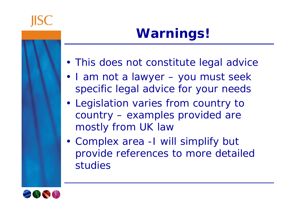

## **Warnings!**

- This does not constitute legal advice
- I am not a lawyer you must seek specific legal advice for your needs
- Legislation varies from country to country – examples provided are mostly from UK law
- Complex area -I will simplify but provide references to more detailed studies

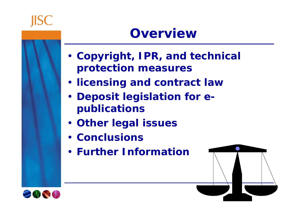### **Overview**

- **Copyright, IPR, and technical protection measures**
- **licensing and contract law**
- **Deposit legislation for epublications**
- **Other legal issues**
- **Conclusions**
- **Further Information**



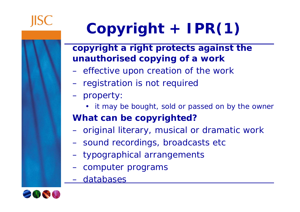# **Copyright + IPR(1)**

#### **copyright a right protects against the unauthorised copying of a work**

- –effective upon creation of the work
- –registration is not required
- – property:
	- it may be bought, sold or passed on by the owner

### **What can be copyrighted?**

- $\sim$ original literary, musical or dramatic work
- $\sim$ sound recordings, broadcasts etc
- typographical arrangements
- computer programs
- databases

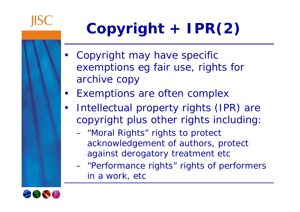# **Copyright + IPR(2)**

- Copyright may have specific exemptions eg fair use, rights for archive copy
- Exemptions are often complex
- $\bullet$  Intellectual property rights (IPR) are copyright plus other rights including:
	- $\mathcal{L}_{\mathcal{A}}$  "Moral Rights" rights to protect acknowledgement of authors, protect against derogatory treatment etc
	- "Performance rights" rights of performers in a work, etc

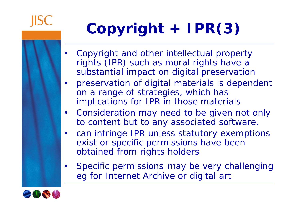# **Copyright + IPR(3)**

- • Copyright and other intellectual property rights (IPR) such as moral rights have a substantial impact on digital preservation
- • preservation of digital materials is dependent on a range of strategies, which has implications for IPR in those materials
- $\bullet$  Consideration may need to be given not only to content but to any associated software.
- $\bullet$  can infringe IPR unless statutory exemptions exist or specific permissions have been obtained from rights holders
- $\bullet$  Specific permissions may be very challenging eg for Internet Archive or digital art

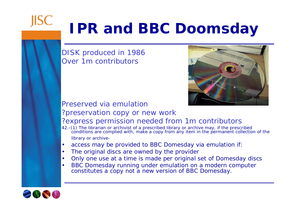# **IPR and BBC Doomsday**

DISK produced in 1986 Over 1m contributors



#### Preserved via emulation?preservation copy or new work

#### ?express permission needed from 1m contributors

- *42.-(1) The librarian or archivist of a prescribed library or archive may, if the prescribed conditions are complied with, make a copy from any item in the permanent collection of the library or archive-*
- •access may be provided to BBC Domesday via emulation if:
- •The original discs are owned by the provider
- •Only one use at a time is made per original set of Domesday discs
- • BBC Domesday running under emulation on a modern computer constitutes a *copy* not a *new version* of BBC Domesday.



**JISC**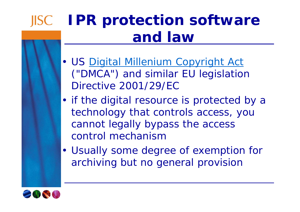## **IPR protection software and law**

- US Digital Millenium Copyright Act ("DMCA") and similar EU legislation Directive 2001/29/EC
- if the digital resource is protected by a technology that controls access, you cannot legally bypass the access control mechanism
- Usually some degree of exemption for archiving but no general provision

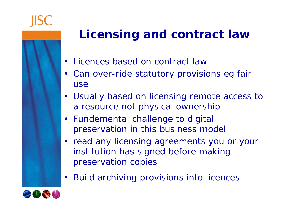### **Licensing and contract law**

- Licences based on contract law
- Can over-ride statutory provisions eg fair use
- Usually based on licensing remote access to a resource not physical ownership
- Fundemental challenge to digital preservation in this business model
- read any licensing agreements you or your institution has signed before making preservation copies
- Build archiving provisions into licences

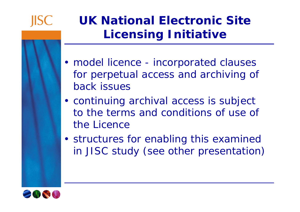

## **UK National Electronic Site Licensing Initiative**

- model licence incorporated clauses for perpetual access and archiving of back issues
- continuing archival access is subject to the terms and conditions of use of the Licence
- structures for enabling this examined in JISC study (see other presentation)

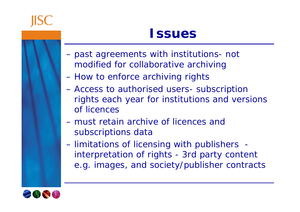### **Issues**

- – past agreements with institutions- not modified for collaborative archiving
- $\mathcal{L}_{\mathcal{A}}$ How to enforce archiving rights
- $\mathcal{L}_{\mathcal{A}}$  Access to authorised users- subscription rights each year for institutions and versions of licences
- must retain archive of licences and subscriptions data
- limitations of licensing with publishers interpretation of rights - 3rd party content e.g. images, and society/publisher contracts

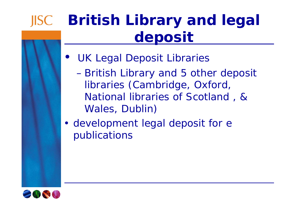## **British Library and legal deposit**

- UK Legal Deposit Libraries
	- $\sim$  British Library and 5 other deposit libraries (Cambridge, Oxford, National libraries of Scotland , & Wales, Dublin)

• development legal deposit for e publications

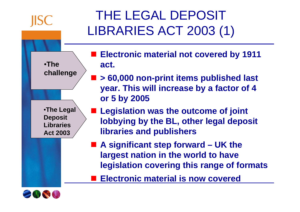

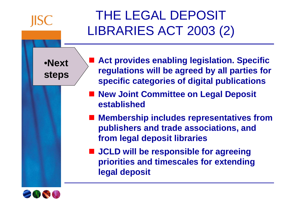

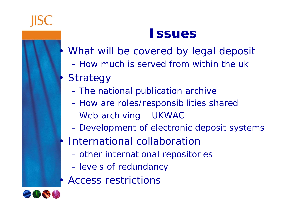•

•

•

•

### **Issues**

- What will be covered by legal deposit
- How much is served from within the uk
- **Strategy** 
	- –The national publication archive
	- $\mathcal{L}_{\mathcal{A}}$ How are roles/responsibilities shared
	- $\mathcal{L}_{\mathcal{A}}$ Web archiving – UKWAC
	- $\mathcal{L}_{\mathcal{A}}$ Development of electronic deposit systems
- International collaboration
	- –other international repositories
	- –levels of redundancy
- Access restrictions

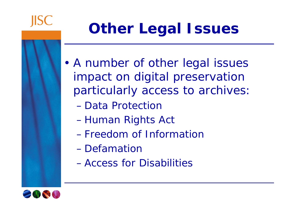

# **Other Legal Issues**

- • A number of other legal issues impact on digital preservation particularly access to archives:
	- Data Protection
	- $\mathbb{R}^n$   $\mathbb{R}^n$ Human Rights Act
	- Freedom of Information
	- Defamation
	- Access for Disabilities

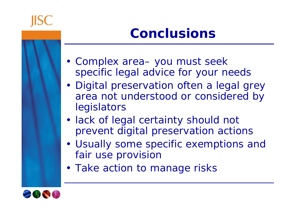## **Conclusions**

- Complex area– you must seek specific legal advice for your needs
- Digital preservation often a legal grey area not understood or considered by legislators
- lack of legal certainty should not prevent digital preservation actions
- Usually some specific exemptions and fair use provision
- Take action to manage risks